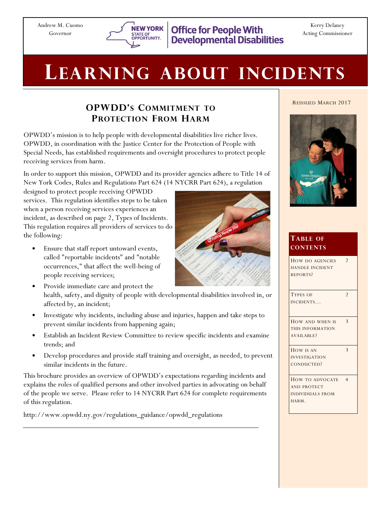

Kerry Delaney Acting Commissioner

# LEARNING ABOUT INCIDENTS

# OPWDD'S COMMITMENT TO PROTECTION FROM HARM

OPWDD's mission is to help people with developmental disabilities live richer lives. OPWDD, in coordination with the Justice Center for the Protection of People with Special Needs, has established requirements and oversight procedures to protect people receiving services from harm.

In order to support this mission, OPWDD and its provider agencies adhere to Title 14 of New York Codes, Rules and Regulations Part 624 (14 NYCRR Part 624), a regulation

designed to protect people receiving OPWDD services. This regulation identifies steps to be taken when a person receiving services experiences an incident, as described on page 2, Types of Incidents. This regulation requires all providers of services to do the following:

- Ensure that staff report untoward events, called "reportable incidents" and "notable occurrences," that affect the well-being of people receiving services;
- Provide immediate care and protect the health, safety, and dignity of people with developmental disabilities involved in, or affected by, an incident;
- Investigate why incidents, including abuse and injuries, happen and take steps to prevent similar incidents from happening again;
- Establish an Incident Review Committee to review specific incidents and examine trends; and
- Develop procedures and provide staff training and oversight, as needed, to prevent similar incidents in the future.

This brochure provides an overview of OPWDD's expectations regarding incidents and explains the roles of qualified persons and other involved parties in advocating on behalf of the people we serve. Please refer to 14 NYCRR Part 624 for complete requirements of this regulation.

http://www.opwdd.ny.gov/regulations\_guidance/opwdd\_regulations





| <b>TABLE OF</b><br><b>CONTENTS</b>                                        |                |
|---------------------------------------------------------------------------|----------------|
| HOW DO AGENCIES<br><b>HANDLE INCIDENT</b><br>REPORTS?                     | $\overline{2}$ |
| <b>TYPES OF</b><br>INCIDENTS                                              | $\overline{2}$ |
| HOW AND WHEN IS<br>THIS INFORMATION<br>AVAILABLE?                         | $\mathbf{3}$   |
| HOW IS AN<br><b>INVESTIGATION</b><br>CONDUCTED?                           | $\mathbf{3}$   |
| HOW TO ADVOCATE<br><b>AND PROTECT</b><br><b>INDIVIDUALS FROM</b><br>HARM. | $\overline{4}$ |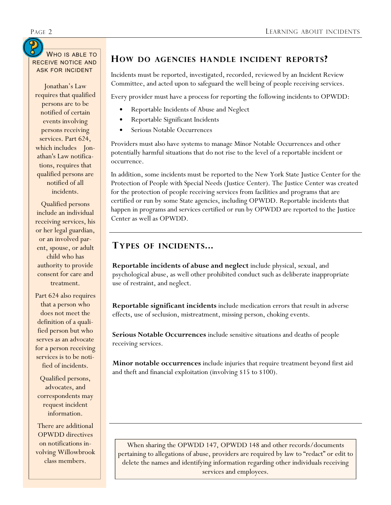# WHO IS ABLE TO RECEIVE NOTICE AND

Jonathan's Law requires that qualified persons are to be notified of certain events involving persons receiving services. Part 624, which includes Jonathan's Law notifications, requires that qualified persons are notified of all incidents.

Qualified persons include an individual receiving services, his or her legal guardian, or an involved parent, spouse, or adult child who has authority to provide consent for care and treatment.

Part 624 also requires that a person who does not meet the definition of a qualified person but who serves as an advocate for a person receiving services is to be notified of incidents.

Qualified persons, advocates, and correspondents may request incident information.

There are additional OPWDD directives on notifications involving Willowbrook class members.

#### HOW DO AGENCIES HANDLE INCIDENT REPORTS?

ASK FOR INCIDENT Incidents must be reported, investigated, recorded, reviewed by an Incident Review Committee, and acted upon to safeguard the well being of people receiving services.

Every provider must have a process for reporting the following incidents to OPWDD:

- Reportable Incidents of Abuse and Neglect
- Reportable Significant Incidents
- Serious Notable Occurrences

Providers must also have systems to manage Minor Notable Occurrences and other potentially harmful situations that do not rise to the level of a reportable incident or occurrence.

In addition, some incidents must be reported to the New York State Justice Center for the Protection of People with Special Needs (Justice Center). The Justice Center was created for the protection of people receiving services from facilities and programs that are certified or run by some State agencies, including OPWDD. Reportable incidents that happen in programs and services certified or run by OPWDD are reported to the Justice Center as well as OPWDD.

#### TYPES OF INCIDENTS...

Reportable incidents of abuse and neglect include physical, sexual, and psychological abuse, as well other prohibited conduct such as deliberate inappropriate use of restraint, and neglect.

Reportable significant incidents include medication errors that result in adverse effects, use of seclusion, mistreatment, missing person, choking events.

Serious Notable Occurrences include sensitive situations and deaths of people receiving services.

**Minor notable occurrences** include injuries that require treatment beyond first aid and theft and financial exploitation (involving \$15 to \$100).

When sharing the OPWDD 147, OPWDD 148 and other records/documents pertaining to allegations of abuse, providers are required by law to "redact" or edit to delete the names and identifying information regarding other individuals receiving services and employees.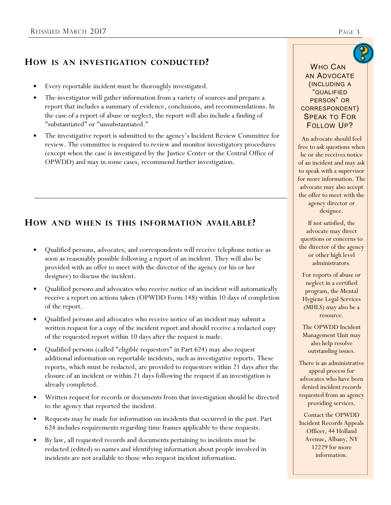## HOW IS AN INVESTIGATION CONDUCTED?

- Every reportable incident must be thoroughly investigated.
- The investigator will gather information from a variety of sources and prepare a report that includes a summary of evidence, conclusions, and recommendations. In the case of a report of abuse or neglect, the report will also include a finding of "substantiated" or "unsubstantiated."
- The investigative report is submitted to the agency's Incident Review Committee for review. The committee is required to review and monitor investigatory procedures (except when the case is investigated by the Justice Center or the Central Office of OPWDD) and may in some cases, recommend further investigation.

## HOW AND WHEN IS THIS INFORMATION AVAILABLE?

- Qualified persons, advocates, and correspondents will receive telephone notice as soon as reasonably possible following a report of an incident. They will also be provided with an offer to meet with the director of the agency (or his or her designee) to discuss the incident.
- Qualified persons and advocates who receive notice of an incident will automatically receive a report on actions taken (OPWDD Form 148) within 10 days of completion of the report.
- Qualified persons and advocates who receive notice of an incident may submit a written request for a copy of the incident report and should receive a redacted copy of the requested report within 10 days after the request is made.
- Qualified persons (called "eligible requestors" in Part 624) may also request additional information on reportable incidents, such as investigative reports. These reports, which must be redacted, are provided to requestors within 21 days after the closure of an incident or within 21 days following the request if an investigation is already completed.
- Written request for records or documents from that investigation should be directed to the agency that reported the incident.
- Requests may be made for information on incidents that occurred in the past. Part 624 includes requirements regarding time frames applicable to these requests.
- By law, all requested records and documents pertaining to incidents must be redacted (edited) so names and identifying information about people involved in incidents are not available to those who request incident information.

#### WHO CAN AN ADVOCATE (INCLUDING A "QUALIFIED PERSON" OR

CORRESPONDENT) SPEAK TO FOR

FOLLOW UP? An advocate should feel free to ask questions when he or she receives notice of an incident and may ask to speak with a supervisor for more information. The

the offer to meet with the agency director or designee.

advocate may also accept

If not satisfied, the advocate may direct questions or concerns to the director of the agency or other high level administrators.

For reports of abuse or neglect in a certified program, the Mental Hygiene Legal Services (MHLS) may also be a resource.

The OPWDD Incident Management Unit may also help resolve outstanding issues.

There is an administrative appeal process for advocates who have been denied incident records requested from an agency providing services.

Contact the OPWDD Incident Records Appeals Officer, 44 Holland Avenue, Albany, NY 12229 for more information.